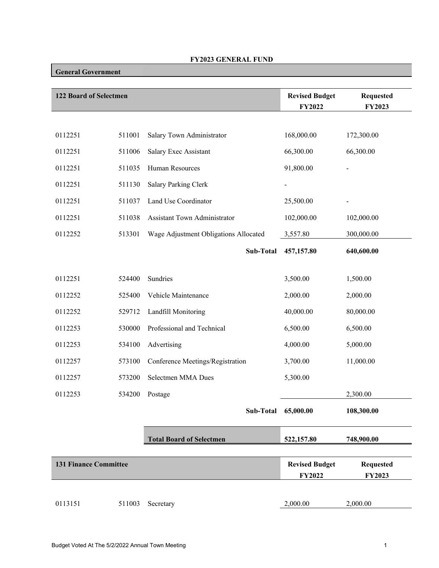## **FY2023 GENERAL FUND**

## **General Government**

| <b>122 Board of Selectmen</b> |        |                                       | <b>Revised Budget</b><br><b>FY2022</b> | <b>Requested</b><br>FY2023        |
|-------------------------------|--------|---------------------------------------|----------------------------------------|-----------------------------------|
|                               |        |                                       |                                        |                                   |
| 0112251                       | 511001 | Salary Town Administrator             | 168,000.00                             | 172,300.00                        |
| 0112251                       | 511006 | Salary Exec Assistant                 | 66,300.00                              | 66,300.00                         |
| 0112251                       | 511035 | Human Resources                       | 91,800.00                              |                                   |
| 0112251                       | 511130 | Salary Parking Clerk                  |                                        |                                   |
| 0112251                       | 511037 | Land Use Coordinator                  | 25,500.00                              |                                   |
| 0112251                       | 511038 | Assistant Town Administrator          | 102,000.00                             | 102,000.00                        |
| 0112252                       | 513301 | Wage Adjustment Obligations Allocated | 3,557.80                               | 300,000.00                        |
|                               |        | Sub-Total                             | 457,157.80                             | 640,600.00                        |
|                               |        |                                       |                                        |                                   |
| 0112251                       | 524400 | Sundries                              | 3,500.00                               | 1,500.00                          |
| 0112252                       | 525400 | Vehicle Maintenance                   | 2,000.00                               | 2,000.00                          |
| 0112252                       | 529712 | Landfill Monitoring                   | 40,000.00                              | 80,000.00                         |
| 0112253                       | 530000 | Professional and Technical            | 6,500.00                               | 6,500.00                          |
| 0112253                       | 534100 | Advertising                           | 4,000.00                               | 5,000.00                          |
| 0112257                       | 573100 | Conference Meetings/Registration      | 3,700.00                               | 11,000.00                         |
| 0112257                       | 573200 | Selectmen MMA Dues                    | 5,300.00                               |                                   |
| 0112253                       | 534200 | Postage                               |                                        | 2,300.00                          |
|                               |        | Sub-Total                             | 65,000.00                              | 108,300.00                        |
|                               |        |                                       |                                        |                                   |
|                               |        | <b>Total Board of Selectmen</b>       | 522,157.80                             | 748,900.00                        |
| <b>131 Finance Committee</b>  |        |                                       | <b>Revised Budget</b><br><b>FY2022</b> | <b>Requested</b><br><b>FY2023</b> |
|                               |        |                                       |                                        |                                   |
| 0113151                       | 511003 | Secretary                             | 2,000.00                               | 2,000.00                          |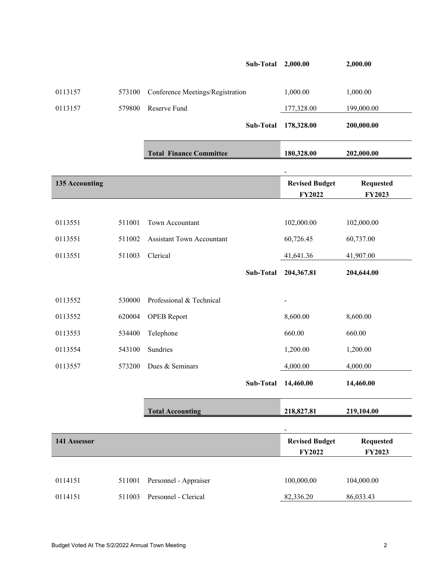|                |        |                                  | Sub-Total | 2,000.00                 | 2,000.00         |
|----------------|--------|----------------------------------|-----------|--------------------------|------------------|
|                |        |                                  |           |                          |                  |
| 0113157        | 573100 | Conference Meetings/Registration |           | 1,000.00                 | 1,000.00         |
| 0113157        | 579800 | Reserve Fund                     |           | 177,328.00               | 199,000.00       |
|                |        |                                  | Sub-Total | 178,328.00               | 200,000.00       |
|                |        |                                  |           |                          |                  |
|                |        | <b>Total Finance Committee</b>   |           | 180,328.00               | 202,000.00       |
|                |        |                                  |           |                          |                  |
| 135 Accounting |        |                                  |           | <b>Revised Budget</b>    | <b>Requested</b> |
|                |        |                                  |           | <b>FY2022</b>            | <b>FY2023</b>    |
| 0113551        | 511001 | Town Accountant                  |           | 102,000.00               | 102,000.00       |
|                |        |                                  |           |                          |                  |
| 0113551        | 511002 | <b>Assistant Town Accountant</b> |           | 60,726.45                | 60,737.00        |
| 0113551        | 511003 | Clerical                         |           | 41,641.36                | 41,907.00        |
|                |        |                                  | Sub-Total | 204,367.81               | 204,644.00       |
|                |        |                                  |           |                          |                  |
| 0113552        | 530000 | Professional & Technical         |           |                          |                  |
| 0113552        | 620004 | <b>OPEB</b> Report               |           | 8,600.00                 | 8,600.00         |
| 0113553        | 534400 | Telephone                        |           | 660.00                   | 660.00           |
| 0113554        | 543100 | Sundries                         |           | 1,200.00                 | 1,200.00         |
| 0113557        | 573200 | Dues & Seminars                  |           | 4,000.00                 | 4,000.00         |
|                |        |                                  | Sub-Total | 14,460.00                | 14,460.00        |
|                |        |                                  |           |                          |                  |
|                |        | <b>Total Accounting</b>          |           | 218,827.81               | 219,104.00       |
|                |        |                                  |           | $\overline{\phantom{a}}$ |                  |
| 141 Assessor   |        |                                  |           | <b>Revised Budget</b>    | <b>Requested</b> |
|                |        |                                  |           | FY2022                   | FY2023           |
|                |        |                                  |           |                          |                  |
| 0114151        | 511001 | Personnel - Appraiser            |           | 100,000.00               | 104,000.00       |
| 0114151        | 511003 | Personnel - Clerical             |           | 82,336.20                | 86,033.43        |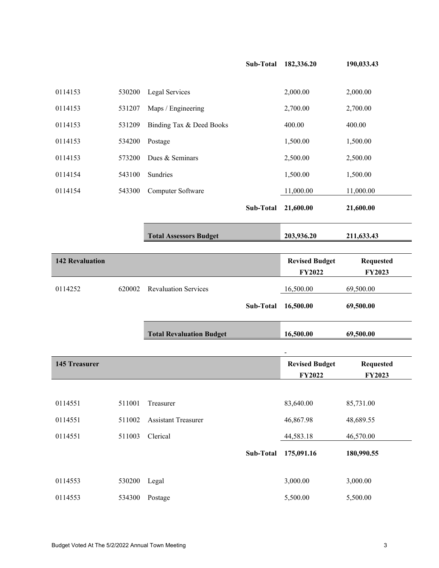|                        |        |                                 | Sub-Total        | 182,336.20                             | 190,033.43                        |
|------------------------|--------|---------------------------------|------------------|----------------------------------------|-----------------------------------|
| 0114153                | 530200 | Legal Services                  |                  | 2,000.00                               | 2,000.00                          |
| 0114153                | 531207 | Maps / Engineering              |                  | 2,700.00                               | 2,700.00                          |
| 0114153                | 531209 | Binding Tax & Deed Books        |                  | 400.00                                 | 400.00                            |
| 0114153                | 534200 | Postage                         |                  | 1,500.00                               | 1,500.00                          |
| 0114153                | 573200 | Dues & Seminars                 |                  | 2,500.00                               | 2,500.00                          |
| 0114154                | 543100 | Sundries                        |                  | 1,500.00                               | 1,500.00                          |
| 0114154                | 543300 | Computer Software               |                  | 11,000.00                              | 11,000.00                         |
|                        |        |                                 | <b>Sub-Total</b> | 21,600.00                              | 21,600.00                         |
|                        |        | <b>Total Assessors Budget</b>   |                  | 203,936.20                             | 211,633.43                        |
| <b>142 Revaluation</b> |        |                                 |                  | <b>Revised Budget</b><br><b>FY2022</b> | <b>Requested</b><br><b>FY2023</b> |
| 0114252                | 620002 | <b>Revaluation Services</b>     |                  | 16,500.00                              | 69,500.00                         |
|                        |        |                                 | Sub-Total        | 16,500.00                              | 69,500.00                         |
|                        |        | <b>Total Revaluation Budget</b> |                  | 16,500.00                              | 69,500.00                         |
|                        |        |                                 |                  |                                        |                                   |
| <b>145 Treasurer</b>   |        |                                 |                  | <b>Revised Budget</b><br>FY2022        | <b>Requested</b><br>FY2023        |
|                        |        |                                 |                  |                                        |                                   |
| 0114551                | 511001 | Treasurer                       |                  | 83,640.00                              | 85,731.00                         |
| 0114551                | 511002 | <b>Assistant Treasurer</b>      |                  | 46,867.98                              | 48,689.55                         |
| 0114551                | 511003 | Clerical                        |                  | 44,583.18                              | 46,570.00                         |
|                        |        |                                 | Sub-Total        | 175,091.16                             | 180,990.55                        |
| 0114553                | 530200 | Legal                           |                  | 3,000.00                               | 3,000.00                          |
| 0114553                | 534300 | Postage                         |                  | 5,500.00                               | 5,500.00                          |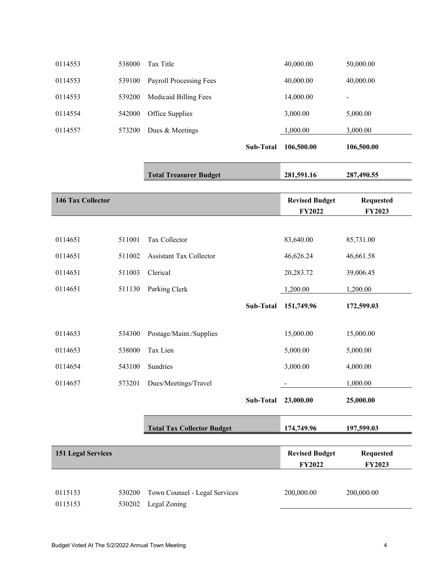| 0114553                   | 538000 | Tax Title                         |           | 40,000.00                              | 50,000.00                  |
|---------------------------|--------|-----------------------------------|-----------|----------------------------------------|----------------------------|
| 0114553                   | 539100 | Payroll Processing Fees           |           | 40,000.00                              | 40,000.00                  |
| 0114553                   | 539200 | <b>Medicaid Billing Fees</b>      |           | 14,000.00                              | $\blacksquare$             |
| 0114554                   | 542000 | Office Supplies                   |           | 3,000.00                               | 5,000.00                   |
| 0114557                   | 573200 | Dues & Meetings                   |           | 1,000.00                               | 3,000.00                   |
|                           |        |                                   | Sub-Total | 106,500.00                             | 106,500.00                 |
|                           |        | <b>Total Treasurer Budget</b>     |           | 281,591.16                             | 287,490.55                 |
| 146 Tax Collector         |        |                                   |           | <b>Revised Budget</b><br><b>FY2022</b> | <b>Requested</b><br>FY2023 |
|                           |        |                                   |           |                                        |                            |
| 0114651                   | 511001 | Tax Collector                     |           | 83,640.00                              | 85,731.00                  |
| 0114651                   | 511002 | <b>Assistant Tax Collector</b>    |           | 46,626.24                              | 46,661.58                  |
| 0114651                   | 511003 | Clerical                          |           | 20,283.72                              | 39,006.45                  |
| 0114651                   | 511130 | Parking Clerk                     |           | 1,200.00                               | 1,200.00                   |
|                           |        |                                   | Sub-Total | 151,749.96                             | 172,599.03                 |
| 0114653                   | 534300 | Postage/Maint./Supplies           |           | 15,000.00                              | 15,000.00                  |
| 0114653                   | 538000 | Tax Lien                          |           | 5,000.00                               | 5,000.00                   |
| 0114654                   | 543100 | Sundries                          |           | 3,000.00                               | 4,000.00                   |
| 0114657                   | 573201 | Dues/Meetings/Travel              |           |                                        | 1,000.00                   |
|                           |        |                                   | Sub-Total | 23,000.00                              | 25,000.00                  |
|                           |        | <b>Total Tax Collector Budget</b> |           | 174,749.96                             | 197,599.03                 |
| <b>151 Legal Services</b> |        |                                   |           | <b>Revised Budget</b><br><b>FY2022</b> | <b>Requested</b><br>FY2023 |
| 0115153                   | 530200 | Town Counsel - Legal Services     |           | 200,000.00                             | 200,000.00                 |
| 0115153                   | 530202 | Legal Zoning                      |           |                                        |                            |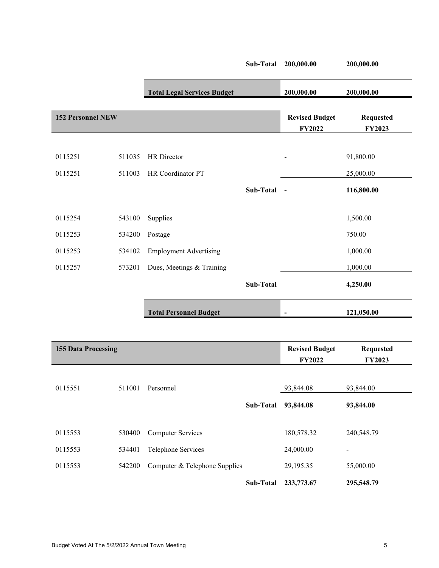|                            |        |                                    | Sub-Total        | 200,000.00                      | 200,000.00                 |
|----------------------------|--------|------------------------------------|------------------|---------------------------------|----------------------------|
|                            |        | <b>Total Legal Services Budget</b> |                  | 200,000.00                      | 200,000.00                 |
| <b>152 Personnel NEW</b>   |        |                                    |                  | <b>Revised Budget</b><br>FY2022 | <b>Requested</b><br>FY2023 |
|                            |        |                                    |                  |                                 |                            |
| 0115251                    | 511035 | HR Director                        |                  |                                 | 91,800.00                  |
| 0115251                    | 511003 | HR Coordinator PT                  |                  |                                 | 25,000.00                  |
|                            |        |                                    | Sub-Total        | $\sim$                          | 116,800.00                 |
|                            |        |                                    |                  |                                 |                            |
| 0115254                    | 543100 | Supplies                           |                  |                                 | 1,500.00                   |
| 0115253                    | 534200 | Postage                            |                  |                                 | 750.00                     |
| 0115253                    | 534102 | <b>Employment Advertising</b>      |                  |                                 | 1,000.00                   |
| 0115257                    | 573201 | Dues, Meetings & Training          |                  |                                 | 1,000.00                   |
|                            |        |                                    | <b>Sub-Total</b> |                                 | 4,250.00                   |
|                            |        | <b>Total Personnel Budget</b>      |                  | $\blacksquare$                  | 121,050.00                 |
|                            |        |                                    |                  |                                 |                            |
| <b>155 Data Processing</b> |        |                                    |                  | <b>Revised Budget</b>           | <b>Requested</b>           |
|                            |        |                                    |                  | <b>FY2022</b>                   | FY2023                     |
| 0115551                    | 511001 | Personnel                          |                  | 93,844.08                       | 93,844.00                  |
|                            |        |                                    | Sub-Total        | 93,844.08                       | 93,844.00                  |
|                            |        |                                    |                  |                                 |                            |

| . <i>.</i> . | -----  | 1.919911191                   |           | 2.011100   | 2.011100                 |  |
|--------------|--------|-------------------------------|-----------|------------|--------------------------|--|
|              |        |                               | Sub-Total | 93,844.08  | 93,844.00                |  |
| 0115553      | 530400 | <b>Computer Services</b>      |           | 180,578.32 | 240,548.79               |  |
| 0115553      | 534401 | Telephone Services            |           | 24,000.00  | $\overline{\phantom{a}}$ |  |
| 0115553      | 542200 | Computer & Telephone Supplies |           | 29,195.35  | 55,000.00                |  |
|              |        |                               | Sub-Total | 233,773.67 | 295,548.79               |  |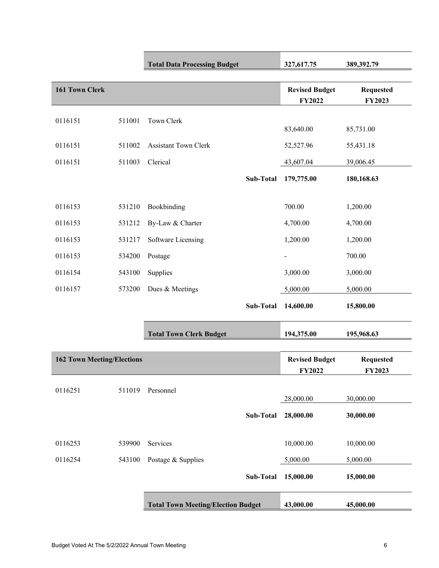|                                   |        | <b>Total Data Processing Budget</b>       |           | 327,617.75                             | 389,392.79                        |
|-----------------------------------|--------|-------------------------------------------|-----------|----------------------------------------|-----------------------------------|
| <b>161 Town Clerk</b>             |        |                                           |           | <b>Revised Budget</b><br><b>FY2022</b> | <b>Requested</b><br>FY2023        |
| 0116151                           | 511001 | Town Clerk                                |           | 83,640.00                              | 85,731.00                         |
| 0116151                           | 511002 | <b>Assistant Town Clerk</b>               |           | 52,527.96                              | 55,431.18                         |
| 0116151                           | 511003 | Clerical                                  |           | 43,607.04                              | 39,006.45                         |
|                                   |        |                                           | Sub-Total | 179,775.00                             | 180,168.63                        |
| 0116153                           | 531210 | Bookbinding                               |           | 700.00                                 | 1,200.00                          |
| 0116153                           | 531212 | By-Law & Charter                          |           | 4,700.00                               | 4,700.00                          |
| 0116153                           | 531217 | Software Licensing                        |           | 1,200.00                               | 1,200.00                          |
| 0116153                           | 534200 | Postage                                   |           | $\overline{\phantom{0}}$               | 700.00                            |
| 0116154                           | 543100 | Supplies                                  |           | 3,000.00                               | 3,000.00                          |
| 0116157                           | 573200 | Dues & Meetings                           |           | 5,000.00                               | 5,000.00                          |
|                                   |        |                                           | Sub-Total | 14,600.00                              | 15,800.00                         |
|                                   |        | <b>Total Town Clerk Budget</b>            |           | 194,375.00                             | 195,968.63                        |
| <b>162 Town Meeting/Elections</b> |        |                                           |           | <b>Revised Budget</b><br><b>FY2022</b> | <b>Requested</b><br><b>FY2023</b> |
| 0116251                           | 511019 | Personnel                                 |           | 28,000.00                              | 30,000.00                         |
|                                   |        |                                           | Sub-Total | 28,000.00                              | 30,000.00                         |
| 0116253                           | 539900 | Services                                  |           | 10,000.00                              | 10,000.00                         |
| 0116254                           | 543100 | Postage & Supplies                        |           | 5,000.00                               | 5,000.00                          |
|                                   |        |                                           | Sub-Total | 15,000.00                              | 15,000.00                         |
|                                   |        | <b>Total Town Meeting/Election Budget</b> |           | 43,000.00                              | 45,000.00                         |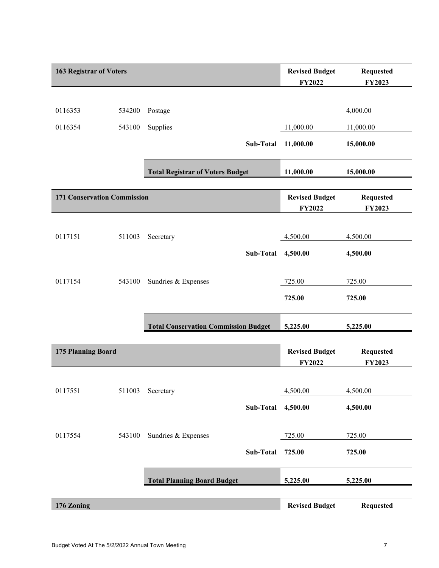| <b>163 Registrar of Voters</b>     |        |                                             |           | <b>Revised Budget</b><br><b>FY2022</b> | <b>Requested</b><br>FY2023 |
|------------------------------------|--------|---------------------------------------------|-----------|----------------------------------------|----------------------------|
|                                    |        |                                             |           |                                        |                            |
| 0116353                            | 534200 | Postage                                     |           |                                        | 4,000.00                   |
| 0116354                            | 543100 | Supplies                                    |           | 11,000.00                              | 11,000.00                  |
|                                    |        |                                             | Sub-Total | 11,000.00                              | 15,000.00                  |
|                                    |        | <b>Total Registrar of Voters Budget</b>     |           | 11,000.00                              | 15,000.00                  |
| <b>171 Conservation Commission</b> |        |                                             |           | <b>Revised Budget</b><br><b>FY2022</b> | <b>Requested</b><br>FY2023 |
|                                    |        |                                             |           |                                        |                            |
| 0117151                            | 511003 | Secretary                                   |           | 4,500.00                               | 4,500.00                   |
|                                    |        |                                             | Sub-Total | 4,500.00                               | 4,500.00                   |
| 0117154                            | 543100 | Sundries & Expenses                         |           | 725.00                                 | 725.00                     |
|                                    |        |                                             |           | 725.00                                 | 725.00                     |
|                                    |        | <b>Total Conservation Commission Budget</b> |           | 5,225.00                               | 5,225.00                   |
|                                    |        |                                             |           |                                        |                            |
| 175 Planning Board                 |        |                                             |           | <b>Revised Budget</b><br><b>FY2022</b> | <b>Requested</b><br>FY2023 |
|                                    |        |                                             |           |                                        |                            |
| 0117551                            | 511003 | Secretary                                   |           | 4,500.00                               | 4,500.00                   |
|                                    |        |                                             | Sub-Total | 4,500.00                               | 4,500.00                   |
| 0117554                            | 543100 | Sundries & Expenses                         |           | 725.00                                 | 725.00                     |
|                                    |        |                                             | Sub-Total | 725.00                                 | 725.00                     |
|                                    |        | <b>Total Planning Board Budget</b>          |           | 5,225.00                               | 5,225.00                   |
| 176 Zoning                         |        |                                             |           | <b>Revised Budget</b>                  | <b>Requested</b>           |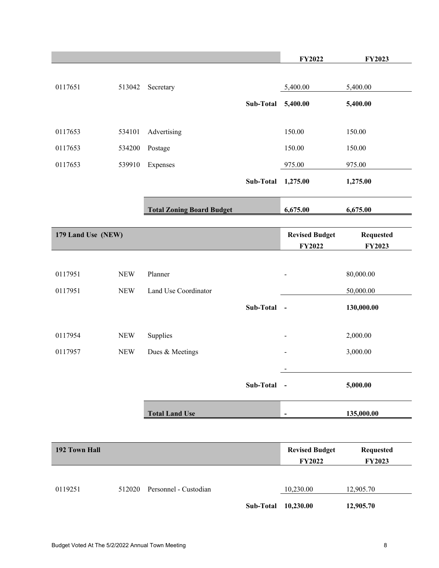|                    |            |                                  |             | <b>FY2022</b>            | <b>FY2023</b>    |
|--------------------|------------|----------------------------------|-------------|--------------------------|------------------|
|                    |            |                                  |             |                          |                  |
| 0117651            | 513042     | Secretary                        |             | 5,400.00                 | 5,400.00         |
|                    |            |                                  | Sub-Total   | 5,400.00                 | 5,400.00         |
|                    |            |                                  |             |                          |                  |
| 0117653            | 534101     | Advertising                      |             | 150.00                   | 150.00           |
| 0117653            | 534200     | Postage                          |             | 150.00                   | 150.00           |
| 0117653            | 539910     | Expenses                         |             | 975.00                   | 975.00           |
|                    |            |                                  | Sub-Total   | 1,275.00                 | 1,275.00         |
|                    |            | <b>Total Zoning Board Budget</b> |             | 6,675.00                 | 6,675.00         |
|                    |            |                                  |             |                          |                  |
| 179 Land Use (NEW) |            |                                  |             | <b>Revised Budget</b>    | <b>Requested</b> |
|                    |            |                                  |             | FY2022                   | FY2023           |
| 0117951            | <b>NEW</b> | Planner                          |             |                          | 80,000.00        |
| 0117951            | <b>NEW</b> | Land Use Coordinator             |             |                          | 50,000.00        |
|                    |            |                                  |             |                          |                  |
|                    |            |                                  | Sub-Total - |                          | 130,000.00       |
| 0117954            | <b>NEW</b> | Supplies                         |             | $\overline{\phantom{0}}$ | 2,000.00         |
| 0117957            | <b>NEW</b> | Dues & Meetings                  |             |                          | 3,000.00         |
|                    |            |                                  |             |                          |                  |
|                    |            |                                  | Sub-Total   | $\sim$                   | 5,000.00         |
|                    |            |                                  |             |                          |                  |
|                    |            | <b>Total Land Use</b>            |             | $\overline{\phantom{a}}$ | 135,000.00       |
|                    |            |                                  |             |                          |                  |
| 192 Town Hall      |            |                                  |             | <b>Revised Budget</b>    | <b>Requested</b> |
|                    |            |                                  |             | <b>FY2022</b>            | <b>FY2023</b>    |
|                    |            |                                  |             |                          |                  |
| 0119251            | 512020     | Personnel - Custodian            |             | 10,230.00                | 12,905.70        |
|                    |            |                                  | Sub-Total   | 10,230.00                | 12,905.70        |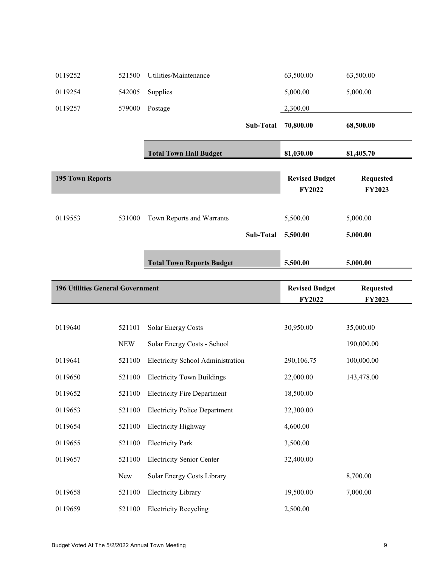| 0119252                                 | 521500         | Utilities/Maintenance                  | 63,500.00                              | 63,500.00                         |
|-----------------------------------------|----------------|----------------------------------------|----------------------------------------|-----------------------------------|
| 0119254                                 | 542005         | Supplies                               | 5,000.00                               | 5,000.00                          |
| 0119257                                 | 579000         | Postage                                | 2,300.00                               |                                   |
|                                         |                | Sub-Total                              | 70,800.00                              | 68,500.00                         |
|                                         |                | <b>Total Town Hall Budget</b>          | 81,030.00                              | 81,405.70                         |
| <b>195 Town Reports</b>                 |                |                                        | <b>Revised Budget</b><br><b>FY2022</b> | <b>Requested</b><br>FY2023        |
| 0119553                                 | 531000         | Town Reports and Warrants<br>Sub-Total | 5,500.00<br>5,500.00                   | 5,000.00<br>5,000.00              |
|                                         |                | <b>Total Town Reports Budget</b>       | 5,500.00                               | 5,000.00                          |
| <b>196 Utilities General Government</b> |                |                                        | <b>Revised Budget</b><br><b>FY2022</b> | <b>Requested</b><br><b>FY2023</b> |
|                                         |                |                                        |                                        |                                   |
|                                         |                |                                        |                                        |                                   |
| 0119640                                 | 521101         | <b>Solar Energy Costs</b>              | 30,950.00                              | 35,000.00                         |
|                                         | <b>NEW</b>     | Solar Energy Costs - School            |                                        | 190,000.00                        |
| 0119641                                 | 521100         | Electricity School Administration      | 290,106.75                             | 100,000.00                        |
| 0119650                                 | 521100         | <b>Electricity Town Buildings</b>      | 22,000.00                              | 143,478.00                        |
| 0119652                                 | 521100         | <b>Electricity Fire Department</b>     | 18,500.00                              |                                   |
| 0119653                                 | 521100         | <b>Electricity Police Department</b>   | 32,300.00                              |                                   |
| 0119654                                 | 521100         | Electricity Highway                    | 4,600.00                               |                                   |
| 0119655                                 | 521100         | <b>Electricity Park</b>                | 3,500.00                               |                                   |
| 0119657                                 | 521100         | <b>Electricity Senior Center</b>       | 32,400.00                              |                                   |
|                                         | ${\hbox{New}}$ | Solar Energy Costs Library             |                                        | 8,700.00                          |
| 0119658                                 | 521100         | <b>Electricity Library</b>             | 19,500.00                              | 7,000.00                          |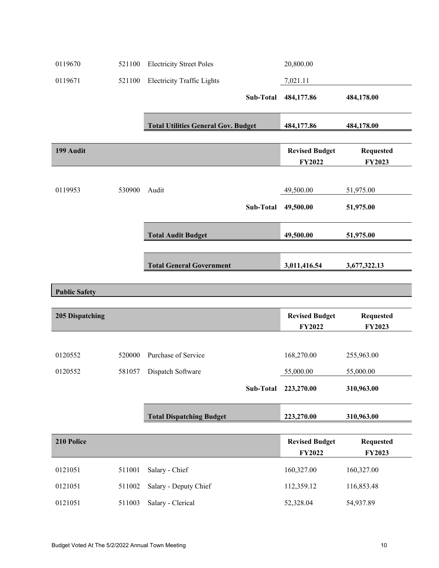| 0119670                | 521100 | <b>Electricity Street Poles</b>            | 20,800.00                              |                                   |
|------------------------|--------|--------------------------------------------|----------------------------------------|-----------------------------------|
| 0119671                | 521100 | <b>Electricity Traffic Lights</b>          | 7,021.11                               |                                   |
|                        |        | Sub-Total                                  | 484,177.86                             | 484,178.00                        |
|                        |        | <b>Total Utilities General Gov. Budget</b> | 484,177.86                             | 484,178.00                        |
| 199 Audit              |        |                                            | <b>Revised Budget</b><br><b>FY2022</b> | <b>Requested</b><br><b>FY2023</b> |
| 0119953                | 530900 | Audit                                      | 49,500.00                              | 51,975.00                         |
|                        |        | Sub-Total                                  | 49,500.00                              | 51,975.00                         |
|                        |        | <b>Total Audit Budget</b>                  | 49,500.00                              | 51,975.00                         |
|                        |        | <b>Total General Government</b>            | 3,011,416.54                           | 3,677,322.13                      |
|                        |        |                                            |                                        |                                   |
| <b>Public Safety</b>   |        |                                            |                                        |                                   |
|                        |        |                                            |                                        |                                   |
| <b>205 Dispatching</b> |        |                                            | <b>Revised Budget</b>                  | <b>Requested</b>                  |
|                        |        |                                            | <b>FY2022</b>                          | FY2023                            |
| 0120552                | 520000 | Purchase of Service                        | 168,270.00                             | 255,963.00                        |
| 0120552                | 581057 | Dispatch Software                          | 55,000.00                              | 55,000.00                         |
|                        |        | Sub-Total                                  | 223,270.00                             | 310,963.00                        |
|                        |        | <b>Total Dispatching Budget</b>            | 223,270.00                             | 310,963.00                        |
| 210 Police             |        |                                            | <b>Revised Budget</b><br>FY2022        | <b>Requested</b><br>FY2023        |
| 0121051                | 511001 | Salary - Chief                             | 160,327.00                             | 160,327.00                        |
| 0121051                | 511002 | Salary - Deputy Chief                      | 112,359.12                             | 116,853.48                        |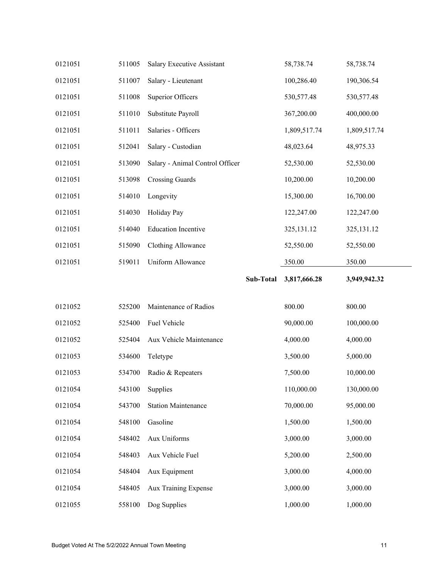| 0121051 | 511005 | Salary Executive Assistant      | 58,738.74    | 58,738.74    |
|---------|--------|---------------------------------|--------------|--------------|
| 0121051 | 511007 | Salary - Lieutenant             | 100,286.40   | 190,306.54   |
| 0121051 | 511008 | <b>Superior Officers</b>        | 530, 577. 48 | 530, 577. 48 |
| 0121051 | 511010 | Substitute Payroll              | 367,200.00   | 400,000.00   |
| 0121051 | 511011 | Salaries - Officers             | 1,809,517.74 | 1,809,517.74 |
| 0121051 | 512041 | Salary - Custodian              | 48,023.64    | 48,975.33    |
| 0121051 | 513090 | Salary - Animal Control Officer | 52,530.00    | 52,530.00    |
| 0121051 | 513098 | <b>Crossing Guards</b>          | 10,200.00    | 10,200.00    |
| 0121051 | 514010 | Longevity                       | 15,300.00    | 16,700.00    |
| 0121051 | 514030 | Holiday Pay                     | 122,247.00   | 122,247.00   |
| 0121051 | 514040 | <b>Education Incentive</b>      | 325,131.12   | 325,131.12   |
| 0121051 | 515090 | Clothing Allowance              | 52,550.00    | 52,550.00    |
| 0121051 | 519011 | Uniform Allowance               | 350.00       | 350.00       |
|         |        | Sub-Total                       | 3,817,666.28 | 3,949,942.32 |
|         |        |                                 |              |              |
|         |        |                                 |              |              |
| 0121052 | 525200 | Maintenance of Radios           | 800.00       | 800.00       |
| 0121052 | 525400 | Fuel Vehicle                    | 90,000.00    | 100,000.00   |
| 0121052 | 525404 | Aux Vehicle Maintenance         | 4,000.00     | 4,000.00     |
| 0121053 | 534600 | Teletype                        | 3,500.00     | 5,000.00     |
| 0121053 | 534700 | Radio & Repeaters               | 7,500.00     | 10,000.00    |
| 0121054 | 543100 | Supplies                        | 110,000.00   | 130,000.00   |
| 0121054 | 543700 | <b>Station Maintenance</b>      | 70,000.00    | 95,000.00    |
| 0121054 | 548100 | Gasoline                        | 1,500.00     | 1,500.00     |
| 0121054 | 548402 | Aux Uniforms                    | 3,000.00     | 3,000.00     |
| 0121054 | 548403 | Aux Vehicle Fuel                | 5,200.00     | 2,500.00     |
| 0121054 | 548404 | Aux Equipment                   | 3,000.00     | 4,000.00     |
| 0121054 | 548405 | Aux Training Expense            | 3,000.00     | 3,000.00     |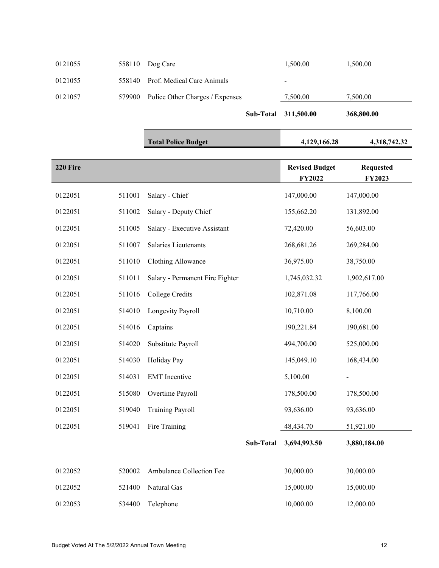|         |                                        | Sub-Total 311,500.00 | 368,800.00 |
|---------|----------------------------------------|----------------------|------------|
| 0121057 | 579900 Police Other Charges / Expenses | 7,500.00             | 7,500.00   |
| 0121055 | 558140 Prof. Medical Care Animals      | -                    |            |
| 0121055 | $558110$ Dog Care                      | 1,500.00             | 1,500.00   |

|          |        | <b>Total Police Budget</b>      |           | 4,129,166.28                    | 4,318,742.32               |
|----------|--------|---------------------------------|-----------|---------------------------------|----------------------------|
| 220 Fire |        |                                 |           | <b>Revised Budget</b><br>FY2022 | <b>Requested</b><br>FY2023 |
| 0122051  | 511001 | Salary - Chief                  |           | 147,000.00                      | 147,000.00                 |
| 0122051  | 511002 | Salary - Deputy Chief           |           | 155,662.20                      | 131,892.00                 |
| 0122051  | 511005 | Salary - Executive Assistant    |           | 72,420.00                       | 56,603.00                  |
| 0122051  | 511007 | Salaries Lieutenants            |           | 268,681.26                      | 269,284.00                 |
| 0122051  | 511010 | <b>Clothing Allowance</b>       |           | 36,975.00                       | 38,750.00                  |
| 0122051  | 511011 | Salary - Permanent Fire Fighter |           | 1,745,032.32                    | 1,902,617.00               |
| 0122051  | 511016 | College Credits                 |           | 102,871.08                      | 117,766.00                 |
| 0122051  | 514010 | Longevity Payroll               |           | 10,710.00                       | 8,100.00                   |
| 0122051  | 514016 | Captains                        |           | 190,221.84                      | 190,681.00                 |
| 0122051  | 514020 | Substitute Payroll              |           | 494,700.00                      | 525,000.00                 |
| 0122051  | 514030 | Holiday Pay                     |           | 145,049.10                      | 168,434.00                 |
| 0122051  | 514031 | <b>EMT</b> Incentive            |           | 5,100.00                        |                            |
| 0122051  | 515080 | Overtime Payroll                |           | 178,500.00                      | 178,500.00                 |
| 0122051  | 519040 | <b>Training Payroll</b>         |           | 93,636.00                       | 93,636.00                  |
| 0122051  | 519041 | Fire Training                   |           | 48,434.70                       | 51,921.00                  |
|          |        |                                 | Sub-Total | 3,694,993.50                    | 3,880,184.00               |
| 0122052  | 520002 | Ambulance Collection Fee        |           | 30,000.00                       | 30,000.00                  |
| 0122052  | 521400 | Natural Gas                     |           | 15,000.00                       | 15,000.00                  |
| 0122053  | 534400 | Telephone                       |           | 10,000.00                       | 12,000.00                  |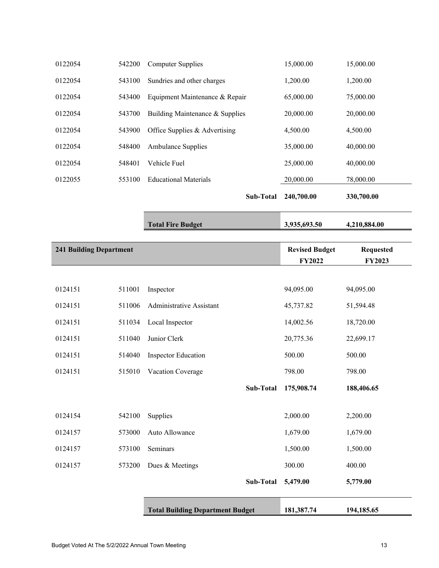|                                |        | <b>Total Building Department Budget</b> |                  | 181,387.74            | 194,185.65       |
|--------------------------------|--------|-----------------------------------------|------------------|-----------------------|------------------|
|                                |        |                                         | Sub-Total        | 5,479.00              | 5,779.00         |
| 0124157                        | 573200 | Dues & Meetings                         |                  | 300.00                | 400.00           |
| 0124157                        | 573100 | Seminars                                |                  | 1,500.00              | 1,500.00         |
| 0124157                        | 573000 | Auto Allowance                          |                  | 1,679.00              | 1,679.00         |
| 0124154                        | 542100 | Supplies                                |                  | 2,000.00              | 2,200.00         |
|                                |        |                                         |                  |                       |                  |
|                                |        |                                         | Sub-Total        | 175,908.74            | 188,406.65       |
| 0124151                        | 515010 | Vacation Coverage                       |                  | 798.00                | 798.00           |
| 0124151                        | 514040 | <b>Inspector Education</b>              |                  | 500.00                | 500.00           |
| 0124151                        | 511040 | Junior Clerk                            |                  | 20,775.36             | 22,699.17        |
| 0124151                        | 511034 | Local Inspector                         |                  | 14,002.56             | 18,720.00        |
| 0124151                        | 511006 | Administrative Assistant                |                  | 45,737.82             | 51,594.48        |
| 0124151                        | 511001 | Inspector                               |                  | 94,095.00             | 94,095.00        |
|                                |        |                                         |                  | <b>FY2022</b>         | FY2023           |
| <b>241 Building Department</b> |        |                                         |                  | <b>Revised Budget</b> | <b>Requested</b> |
|                                |        |                                         |                  |                       |                  |
|                                |        | <b>Total Fire Budget</b>                |                  | 3,935,693.50          | 4,210,884.00     |
|                                |        |                                         | <b>Sub-Total</b> | 240,700.00            | 330,700.00       |
| 0122055                        | 553100 | <b>Educational Materials</b>            |                  | 20,000.00             | 78,000.00        |
| 0122054                        | 548401 | Vehicle Fuel                            |                  | 25,000.00             | 40,000.00        |
| 0122054                        | 548400 | <b>Ambulance Supplies</b>               |                  | 35,000.00             | 40,000.00        |
| 0122054                        | 543900 | Office Supplies & Advertising           |                  | 4,500.00              | 4,500.00         |
| 0122054                        | 543700 | Building Maintenance & Supplies         |                  | 20,000.00             | 20,000.00        |
| 0122054                        | 543400 | Equipment Maintenance & Repair          |                  | 65,000.00             | 75,000.00        |
| 0122054                        | 543100 | Sundries and other charges              |                  | 1,200.00              | 1,200.00         |
| 0122054                        | 542200 | <b>Computer Supplies</b>                |                  | 15,000.00             | 15,000.00        |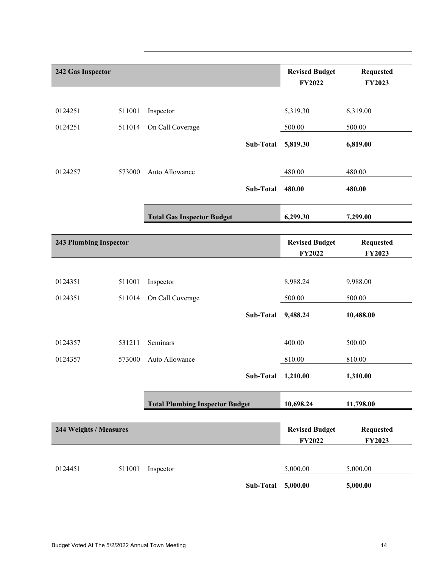| 242 Gas Inspector             |        |                                        |                                 | <b>Revised Budget</b><br><b>FY2022</b> | <b>Requested</b><br>FY2023 |  |
|-------------------------------|--------|----------------------------------------|---------------------------------|----------------------------------------|----------------------------|--|
| 0124251                       | 511001 | Inspector                              |                                 | 5,319.30                               | 6,319.00                   |  |
| 0124251                       | 511014 | On Call Coverage                       |                                 | 500.00                                 | 500.00                     |  |
|                               |        |                                        | Sub-Total                       | 5,819.30                               | 6,819.00                   |  |
| 0124257                       | 573000 | Auto Allowance                         |                                 | 480.00                                 | 480.00                     |  |
|                               |        |                                        | Sub-Total                       | 480.00                                 | 480.00                     |  |
|                               |        | <b>Total Gas Inspector Budget</b>      |                                 | 6,299.30                               | 7,299.00                   |  |
|                               |        |                                        |                                 |                                        |                            |  |
| <b>243 Plumbing Inspector</b> |        |                                        |                                 | <b>Revised Budget</b><br><b>FY2022</b> | <b>Requested</b><br>FY2023 |  |
|                               |        |                                        |                                 |                                        |                            |  |
| 0124351                       | 511001 | Inspector                              |                                 | 8,988.24                               | 9,988.00                   |  |
| 0124351                       | 511014 | On Call Coverage                       |                                 | 500.00                                 | 500.00                     |  |
|                               |        |                                        | Sub-Total                       | 9,488.24                               | 10,488.00                  |  |
| 0124357                       | 531211 | Seminars                               |                                 | 400.00                                 | 500.00                     |  |
| 0124357                       | 573000 | Auto Allowance                         |                                 | 810.00                                 | 810.00                     |  |
|                               |        |                                        | Sub-Total 1,210.00              |                                        | 1,310.00                   |  |
|                               |        | <b>Total Plumbing Inspector Budget</b> |                                 | 10,698.24                              | 11,798.00                  |  |
| 244 Weights / Measures        |        |                                        | <b>Revised Budget</b><br>FY2022 | <b>Requested</b><br>FY2023             |                            |  |
|                               |        |                                        |                                 |                                        |                            |  |
| 0124451                       | 511001 | Inspector                              |                                 | 5,000.00                               | 5,000.00                   |  |
|                               |        |                                        | Sub-Total                       | 5,000.00                               | 5,000.00                   |  |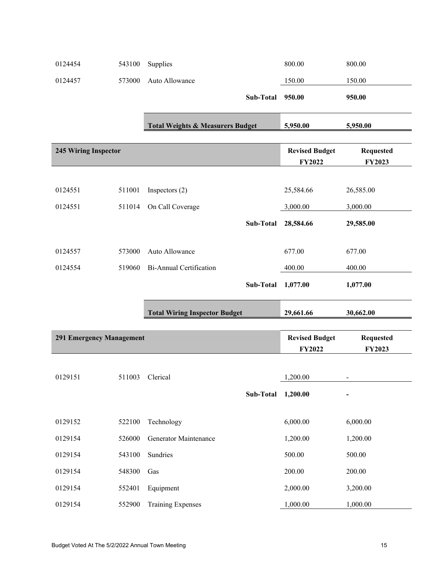| 0124454                     | 543100 | Supplies                                    |           | 800.00                                 | 800.00                            |
|-----------------------------|--------|---------------------------------------------|-----------|----------------------------------------|-----------------------------------|
| 0124457                     | 573000 | Auto Allowance                              |           | 150.00                                 | 150.00                            |
|                             |        |                                             | Sub-Total | 950.00                                 | 950.00                            |
|                             |        |                                             |           |                                        |                                   |
|                             |        | <b>Total Weights &amp; Measurers Budget</b> |           | 5,950.00                               | 5,950.00                          |
| <b>245 Wiring Inspector</b> |        |                                             |           | <b>Revised Budget</b><br><b>FY2022</b> | <b>Requested</b><br><b>FY2023</b> |
|                             |        |                                             |           |                                        |                                   |
| 0124551                     | 511001 | Inspectors $(2)$                            |           | 25,584.66                              | 26,585.00                         |
| 0124551                     | 511014 | On Call Coverage                            |           | 3,000.00                               | 3,000.00                          |
|                             |        |                                             | Sub-Total | 28,584.66                              | 29,585.00                         |
|                             |        |                                             |           |                                        |                                   |
| 0124557                     | 573000 | Auto Allowance                              |           | 677.00                                 | 677.00                            |
| 0124554                     | 519060 | <b>Bi-Annual Certification</b>              |           | 400.00                                 | 400.00                            |
|                             |        |                                             | Sub-Total | 1,077.00                               | 1,077.00                          |
|                             |        | <b>Total Wiring Inspector Budget</b>        |           | 29,661.66                              | 30,662.00                         |
|                             |        |                                             |           |                                        |                                   |
| 291 Emergency Management    |        |                                             |           | <b>Revised Budget</b>                  | <b>Requested</b>                  |
|                             |        |                                             |           | <b>FY2022</b>                          | FY2023                            |
| 0129151                     |        | 511003 Clerical                             |           | 1,200.00                               |                                   |
|                             |        |                                             | Sub-Total | 1,200.00                               |                                   |
|                             |        |                                             |           |                                        |                                   |
| 0129152                     | 522100 | Technology                                  |           | 6,000.00                               | 6,000.00                          |
| 0129154                     | 526000 | Generator Maintenance                       |           | 1,200.00                               | 1,200.00                          |
| 0129154                     | 543100 | Sundries                                    |           | 500.00                                 | 500.00                            |
| 0129154                     | 548300 | Gas                                         |           | 200.00                                 | 200.00                            |
| 0129154                     | 552401 | Equipment                                   |           | 2,000.00                               | 3,200.00                          |
| 0129154                     | 552900 | <b>Training Expenses</b>                    |           | 1,000.00                               | 1,000.00                          |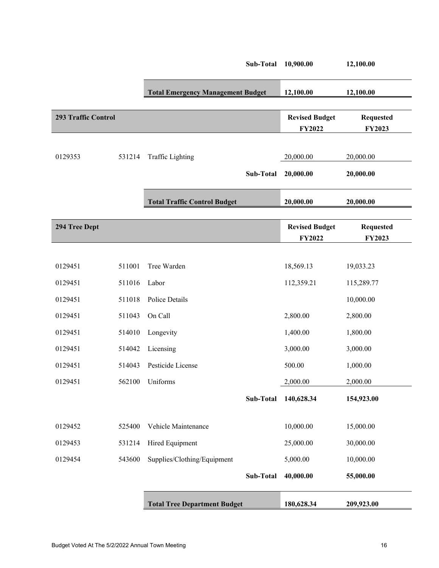|                     |        |                                          | Sub-Total | 10,900.00                              | 12,100.00                  |
|---------------------|--------|------------------------------------------|-----------|----------------------------------------|----------------------------|
|                     |        | <b>Total Emergency Management Budget</b> |           | 12,100.00                              | 12,100.00                  |
|                     |        |                                          |           |                                        |                            |
| 293 Traffic Control |        |                                          |           | <b>Revised Budget</b>                  | <b>Requested</b>           |
|                     |        |                                          |           | <b>FY2022</b>                          | FY2023                     |
| 0129353             | 531214 | <b>Traffic Lighting</b>                  |           | 20,000.00                              | 20,000.00                  |
|                     |        |                                          | Sub-Total | 20,000.00                              | 20,000.00                  |
|                     |        | <b>Total Traffic Control Budget</b>      |           | 20,000.00                              | 20,000.00                  |
| 294 Tree Dept       |        |                                          |           | <b>Revised Budget</b><br><b>FY2022</b> | <b>Requested</b><br>FY2023 |
|                     |        |                                          |           |                                        |                            |
| 0129451             | 511001 | Tree Warden                              |           | 18,569.13                              | 19,033.23                  |
| 0129451             | 511016 | Labor                                    |           | 112,359.21                             | 115,289.77                 |
| 0129451             | 511018 | Police Details                           |           |                                        | 10,000.00                  |
| 0129451             | 511043 | On Call                                  |           | 2,800.00                               | 2,800.00                   |
| 0129451             | 514010 | Longevity                                |           | 1,400.00                               | 1,800.00                   |
| 0129451             | 514042 | Licensing                                |           | 3,000.00                               | 3,000.00                   |
| 0129451             | 514043 | Pesticide License                        |           | 500.00                                 | 1,000.00                   |
| 0129451             |        | 562100 Uniforms                          |           | 2,000.00                               | 2,000.00                   |
|                     |        |                                          | Sub-Total | 140,628.34                             | 154,923.00                 |
|                     |        |                                          |           |                                        |                            |
| 0129452             | 525400 | Vehicle Maintenance                      |           | 10,000.00                              | 15,000.00                  |
| 0129453             | 531214 | Hired Equipment                          |           | 25,000.00                              | 30,000.00                  |
| 0129454             | 543600 | Supplies/Clothing/Equipment              |           | 5,000.00                               | 10,000.00                  |
|                     |        |                                          | Sub-Total | 40,000.00                              | 55,000.00                  |
|                     |        | <b>Total Tree Department Budget</b>      |           | 180,628.34                             | 209,923.00                 |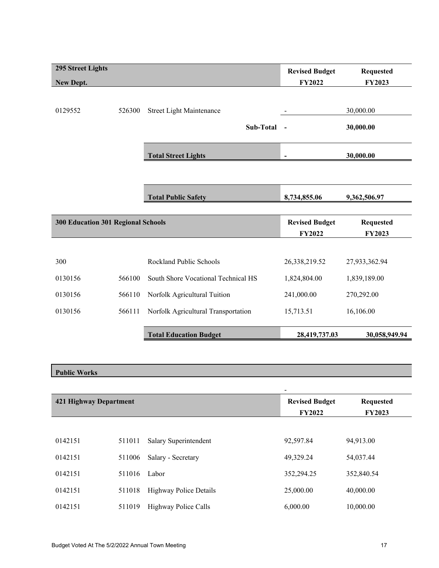| <b>295 Street Lights</b>           |        |                                     | <b>Revised Budget</b>        | <b>Requested</b> |
|------------------------------------|--------|-------------------------------------|------------------------------|------------------|
| New Dept.                          |        |                                     | <b>FY2022</b>                | <b>FY2023</b>    |
|                                    |        |                                     |                              |                  |
| 0129552                            | 526300 | <b>Street Light Maintenance</b>     |                              | 30,000.00        |
|                                    |        | Sub-Total                           |                              | 30,000.00        |
|                                    |        | <b>Total Street Lights</b>          | $\qquad \qquad \blacksquare$ | 30,000.00        |
|                                    |        |                                     |                              |                  |
|                                    |        | <b>Total Public Safety</b>          | 8,734,855.06                 | 9,362,506.97     |
|                                    |        |                                     |                              |                  |
| 300 Education 301 Regional Schools |        |                                     | <b>Revised Budget</b>        | <b>Requested</b> |
|                                    |        |                                     | <b>FY2022</b>                | FY2023           |
|                                    |        |                                     |                              |                  |
| 300                                |        | Rockland Public Schools             | 26,338,219.52                | 27,933,362.94    |
| 0130156                            | 566100 | South Shore Vocational Technical HS | 1,824,804.00                 | 1,839,189.00     |
| 0130156                            | 566110 | Norfolk Agricultural Tuition        | 241,000.00                   | 270,292.00       |
| 0130156                            | 566111 | Norfolk Agricultural Transportation | 15,713.51                    | 16,106.00        |
|                                    |        | <b>Total Education Budget</b>       | 28,419,737.03                | 30,058,949.94    |

## **Public Works**

|                               |        |                               | $\overline{\phantom{a}}$ |                  |
|-------------------------------|--------|-------------------------------|--------------------------|------------------|
| <b>421 Highway Department</b> |        |                               | <b>Revised Budget</b>    | <b>Requested</b> |
|                               |        |                               | <b>FY2022</b>            | <b>FY2023</b>    |
|                               |        |                               |                          |                  |
| 0142151                       | 511011 | Salary Superintendent         | 92,597.84                | 94,913.00        |
| 0142151                       | 511006 | Salary - Secretary            | 49.329.24                | 54,037.44        |
| 0142151                       | 511016 | Labor                         | 352,294.25               | 352,840.54       |
| 0142151                       | 511018 | <b>Highway Police Details</b> | 25,000.00                | 40,000.00        |
| 0142151                       | 511019 | Highway Police Calls          | 6,000.00                 | 10,000.00        |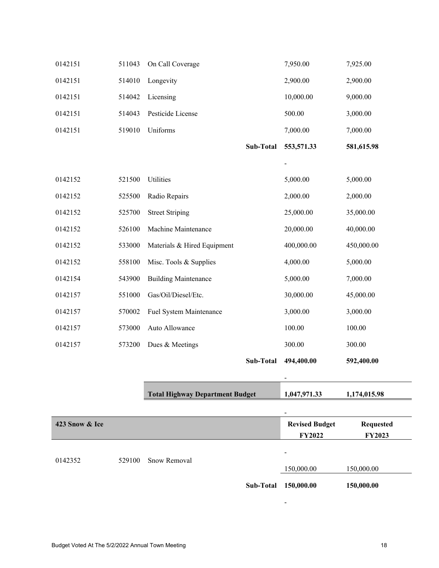| 0142151        | 511043 | On Call Coverage                       |           | 7,950.00                        | 7,925.00                   |
|----------------|--------|----------------------------------------|-----------|---------------------------------|----------------------------|
| 0142151        | 514010 | Longevity                              |           | 2,900.00                        | 2,900.00                   |
| 0142151        | 514042 | Licensing                              |           | 10,000.00                       | 9,000.00                   |
| 0142151        | 514043 | Pesticide License                      |           | 500.00                          | 3,000.00                   |
| 0142151        | 519010 | Uniforms                               |           | 7,000.00                        | 7,000.00                   |
|                |        |                                        | Sub-Total | 553,571.33                      | 581,615.98                 |
|                |        |                                        |           |                                 |                            |
| 0142152        | 521500 | Utilities                              |           | 5,000.00                        | 5,000.00                   |
| 0142152        | 525500 | Radio Repairs                          |           | 2,000.00                        | 2,000.00                   |
| 0142152        | 525700 | <b>Street Striping</b>                 |           | 25,000.00                       | 35,000.00                  |
| 0142152        | 526100 | Machine Maintenance                    |           | 20,000.00                       | 40,000.00                  |
| 0142152        | 533000 | Materials & Hired Equipment            |           | 400,000.00                      | 450,000.00                 |
| 0142152        | 558100 | Misc. Tools & Supplies                 |           | 4,000.00                        | 5,000.00                   |
| 0142154        | 543900 | <b>Building Maintenance</b>            |           | 5,000.00                        | 7,000.00                   |
| 0142157        | 551000 | Gas/Oil/Diesel/Etc.                    |           | 30,000.00                       | 45,000.00                  |
| 0142157        | 570002 | Fuel System Maintenance                |           | 3,000.00                        | 3,000.00                   |
| 0142157        | 573000 | Auto Allowance                         |           | 100.00                          | 100.00                     |
| 0142157        | 573200 | Dues & Meetings                        |           | 300.00                          | 300.00                     |
|                |        |                                        | Sub-Total | 494,400.00                      | 592,400.00                 |
|                |        |                                        |           |                                 |                            |
|                |        | <b>Total Highway Department Budget</b> |           | 1,047,971.33                    | 1,174,015.98               |
|                |        |                                        |           |                                 |                            |
| 423 Snow & Ice |        |                                        |           | <b>Revised Budget</b><br>FY2022 | <b>Requested</b><br>FY2023 |
|                |        |                                        |           |                                 |                            |
| 0142352        | 529100 | Snow Removal                           |           | 150,000.00                      | 150,000.00                 |
|                |        |                                        |           |                                 |                            |

**Sub-Total 150,000.00 150,000.00** 

-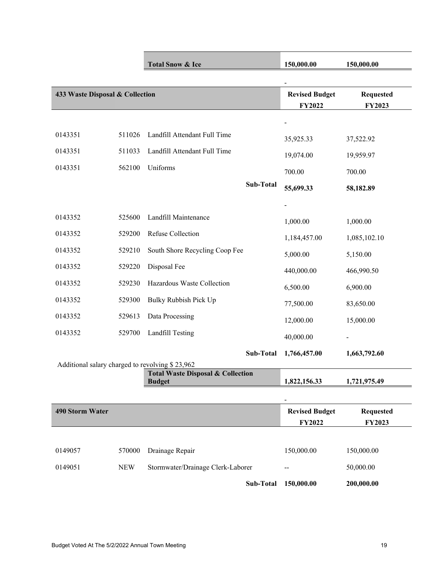|                                                 |            | <b>Total Snow &amp; Ice</b>                                   | 150,000.00            | 150,000.00       |
|-------------------------------------------------|------------|---------------------------------------------------------------|-----------------------|------------------|
|                                                 |            |                                                               | $\blacksquare$        |                  |
| 433 Waste Disposal & Collection                 |            |                                                               | <b>Revised Budget</b> | <b>Requested</b> |
|                                                 |            |                                                               | FY2022                | FY2023           |
|                                                 |            |                                                               |                       |                  |
| 0143351                                         | 511026     | Landfill Attendant Full Time                                  | 35,925.33             | 37,522.92        |
| 0143351                                         | 511033     | Landfill Attendant Full Time                                  | 19,074.00             | 19,959.97        |
| 0143351                                         | 562100     | Uniforms                                                      | 700.00                | 700.00           |
|                                                 |            | Sub-Total                                                     | 55,699.33             | 58,182.89        |
|                                                 |            |                                                               |                       |                  |
| 0143352                                         | 525600     | Landfill Maintenance                                          | 1,000.00              | 1,000.00         |
| 0143352                                         | 529200     | Refuse Collection                                             | 1,184,457.00          | 1,085,102.10     |
| 0143352                                         | 529210     | South Shore Recycling Coop Fee                                | 5,000.00              | 5,150.00         |
| 0143352                                         | 529220     | Disposal Fee                                                  | 440,000.00            | 466,990.50       |
| 0143352                                         | 529230     | Hazardous Waste Collection                                    | 6,500.00              | 6,900.00         |
| 0143352                                         | 529300     | Bulky Rubbish Pick Up                                         | 77,500.00             | 83,650.00        |
| 0143352                                         | 529613     | Data Processing                                               | 12,000.00             | 15,000.00        |
| 0143352                                         | 529700     | Landfill Testing                                              | 40,000.00             |                  |
|                                                 |            | Sub-Total                                                     | 1,766,457.00          | 1,663,792.60     |
| Additional salary charged to revolving \$23,962 |            |                                                               |                       |                  |
|                                                 |            | <b>Total Waste Disposal &amp; Collection</b><br><b>Budget</b> | 1,822,156.33          | 1,721,975.49     |
|                                                 |            |                                                               |                       |                  |
| <b>490 Storm Water</b>                          |            |                                                               | <b>Revised Budget</b> | <b>Requested</b> |
|                                                 |            |                                                               | FY2022                | FY2023           |
|                                                 |            |                                                               |                       |                  |
| 0149057                                         | 570000     | Drainage Repair                                               | 150,000.00            | 150,000.00       |
| 0149051                                         | <b>NEW</b> | Stormwater/Drainage Clerk-Laborer                             |                       | 50,000.00        |
|                                                 |            | Sub-Total                                                     | 150,000.00            | 200,000.00       |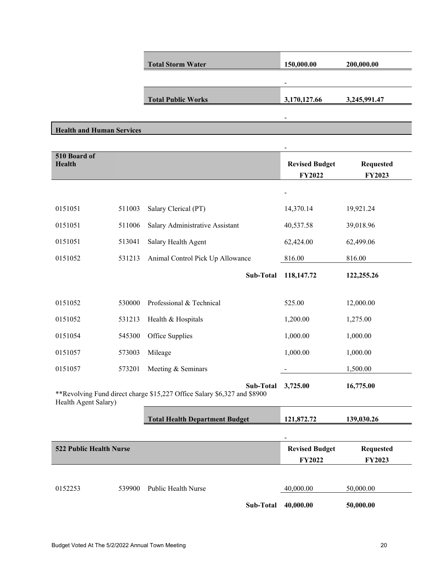|                                                                                                  |        | <b>Total Storm Water</b>              | 150,000.00                      | 200,000.00                 |
|--------------------------------------------------------------------------------------------------|--------|---------------------------------------|---------------------------------|----------------------------|
|                                                                                                  |        |                                       |                                 |                            |
|                                                                                                  |        | <b>Total Public Works</b>             | 3,170,127.66                    | 3,245,991.47               |
|                                                                                                  |        |                                       |                                 |                            |
| <b>Health and Human Services</b>                                                                 |        |                                       |                                 |                            |
|                                                                                                  |        |                                       |                                 |                            |
| 510 Board of<br><b>Health</b>                                                                    |        |                                       | <b>Revised Budget</b><br>FY2022 | <b>Requested</b><br>FY2023 |
|                                                                                                  |        |                                       |                                 |                            |
| 0151051                                                                                          | 511003 | Salary Clerical (PT)                  | 14,370.14                       | 19,921.24                  |
| 0151051                                                                                          | 511006 | Salary Administrative Assistant       | 40,537.58                       | 39,018.96                  |
| 0151051                                                                                          | 513041 | Salary Health Agent                   | 62,424.00                       | 62,499.06                  |
| 0151052                                                                                          | 531213 | Animal Control Pick Up Allowance      | 816.00                          | 816.00                     |
|                                                                                                  |        | Sub-Total                             | 118,147.72                      | 122,255.26                 |
|                                                                                                  |        |                                       |                                 |                            |
| 0151052                                                                                          | 530000 | Professional & Technical              | 525.00                          | 12,000.00                  |
| 0151052                                                                                          | 531213 | Health & Hospitals                    | 1,200.00                        | 1,275.00                   |
| 0151054                                                                                          | 545300 | Office Supplies                       | 1,000.00                        | 1,000.00                   |
| 0151057                                                                                          | 573003 | Mileage                               | 1,000.00                        | 1,000.00                   |
| 0151057                                                                                          | 573201 | Meeting & Seminars                    |                                 | 1,500.00                   |
| **Revolving Fund direct charge \$15,227 Office Salary \$6,327 and \$8900<br>Health Agent Salary) |        | 3,725.00                              | 16,775.00                       |                            |
|                                                                                                  |        | <b>Total Health Department Budget</b> | 121,872.72                      | 139,030.26                 |
|                                                                                                  |        |                                       |                                 |                            |
| <b>522 Public Health Nurse</b>                                                                   |        |                                       | <b>Revised Budget</b><br>FY2022 | <b>Requested</b><br>FY2023 |
|                                                                                                  |        |                                       |                                 |                            |
| 0152253                                                                                          | 539900 | Public Health Nurse                   | 40,000.00                       | 50,000.00                  |
|                                                                                                  |        | Sub-Total                             | 40,000.00                       | 50,000.00                  |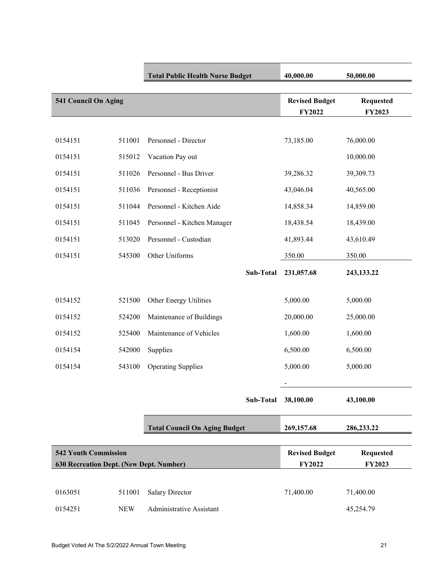|                                                                        |            | <b>Total Public Health Nurse Budget</b> | 40,000.00                              | 50,000.00                         |
|------------------------------------------------------------------------|------------|-----------------------------------------|----------------------------------------|-----------------------------------|
| 541 Council On Aging                                                   |            |                                         | <b>Revised Budget</b><br>FY2022        | <b>Requested</b><br><b>FY2023</b> |
|                                                                        |            |                                         |                                        |                                   |
| 0154151                                                                | 511001     | Personnel - Director                    | 73,185.00                              | 76,000.00                         |
| 0154151                                                                | 515012     | Vacation Pay out                        |                                        | 10,000.00                         |
| 0154151                                                                | 511026     | Personnel - Bus Driver                  | 39,286.32                              | 39,309.73                         |
| 0154151                                                                | 511036     | Personnel - Receptionist                | 43,046.04                              | 40,565.00                         |
| 0154151                                                                | 511044     | Personnel - Kitchen Aide                | 14,858.34                              | 14,859.00                         |
| 0154151                                                                | 511045     | Personnel - Kitchen Manager             | 18,438.54                              | 18,439.00                         |
| 0154151                                                                | 513020     | Personnel - Custodian                   | 41,893.44                              | 43,610.49                         |
| 0154151                                                                | 545300     | Other Uniforms                          | 350.00                                 | 350.00                            |
|                                                                        |            | <b>Sub-Total</b>                        | 231,057.68                             | 243, 133. 22                      |
| 0154152                                                                | 521500     | Other Energy Utilities                  | 5,000.00                               | 5,000.00                          |
| 0154152                                                                | 524200     | Maintenance of Buildings                | 20,000.00                              | 25,000.00                         |
| 0154152                                                                | 525400     | Maintenance of Vehicles                 | 1,600.00                               | 1,600.00                          |
| 0154154                                                                | 542000     | Supplies                                | 6,500.00                               | 6,500.00                          |
| 0154154                                                                | 543100     | <b>Operating Supplies</b>               | 5,000.00                               | 5,000.00                          |
|                                                                        |            |                                         |                                        |                                   |
|                                                                        |            | Sub-Total                               | 38,100.00                              | 43,100.00                         |
|                                                                        |            |                                         |                                        |                                   |
|                                                                        |            | <b>Total Council On Aging Budget</b>    | 269,157.68                             | 286, 233. 22                      |
| <b>542 Youth Commission</b><br>630 Recreation Dept. (New Dept. Number) |            |                                         | <b>Revised Budget</b><br><b>FY2022</b> | <b>Requested</b><br><b>FY2023</b> |
|                                                                        |            |                                         |                                        |                                   |
| 0163051                                                                | 511001     | <b>Salary Director</b>                  | 71,400.00                              | 71,400.00                         |
| 0154251                                                                | <b>NEW</b> | Administrative Assistant                |                                        | 45,254.79                         |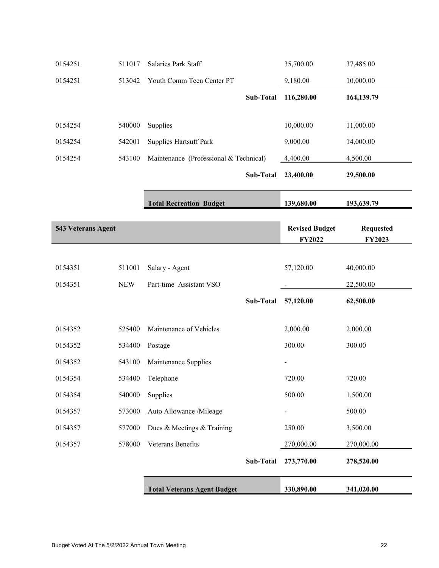| 0154251            | 511017     | Salaries Park Staff                    |           | 35,700.00                              | 37,485.00                         |
|--------------------|------------|----------------------------------------|-----------|----------------------------------------|-----------------------------------|
| 0154251            | 513042     | Youth Comm Teen Center PT              |           | 9,180.00                               | 10,000.00                         |
|                    |            |                                        | Sub-Total | 116,280.00                             | 164,139.79                        |
| 0154254            | 540000     | Supplies                               |           | 10,000.00                              | 11,000.00                         |
| 0154254            | 542001     | <b>Supplies Hartsuff Park</b>          |           | 9,000.00                               | 14,000.00                         |
| 0154254            | 543100     | Maintenance (Professional & Technical) |           | 4,400.00                               | 4,500.00                          |
|                    |            |                                        | Sub-Total | 23,400.00                              | 29,500.00                         |
|                    |            | <b>Total Recreation Budget</b>         |           | 139,680.00                             | 193,639.79                        |
| 543 Veterans Agent |            |                                        |           | <b>Revised Budget</b><br><b>FY2022</b> | <b>Requested</b><br><b>FY2023</b> |
|                    |            |                                        |           |                                        |                                   |
| 0154351            | 511001     | Salary - Agent                         |           | 57,120.00                              | 40,000.00                         |
| 0154351            | <b>NEW</b> | Part-time Assistant VSO                |           |                                        | 22,500.00                         |
|                    |            |                                        | Sub-Total | 57,120.00                              | 62,500.00                         |
| 0154352            | 525400     | Maintenance of Vehicles                |           | 2,000.00                               | 2,000.00                          |
| 0154352            | 534400     | Postage                                |           | 300.00                                 | 300.00                            |
| 0154352            | 543100     | Maintenance Supplies                   |           |                                        |                                   |
| 0154354            | 534400     | Telephone                              |           | 720.00                                 | 720.00                            |
| 0154354            | 540000     | Supplies                               |           | 500.00                                 | 1,500.00                          |
| 0154357            | 573000     | Auto Allowance /Mileage                |           |                                        | 500.00                            |
| 0154357            | 577000     | Dues & Meetings & Training             |           | 250.00                                 | 3,500.00                          |
| 0154357            | 578000     | Veterans Benefits                      |           | 270,000.00                             | 270,000.00                        |
|                    |            |                                        | Sub-Total | 273,770.00                             | 278,520.00                        |
|                    |            | <b>Total Veterans Agent Budget</b>     |           | 330,890.00                             | 341,020.00                        |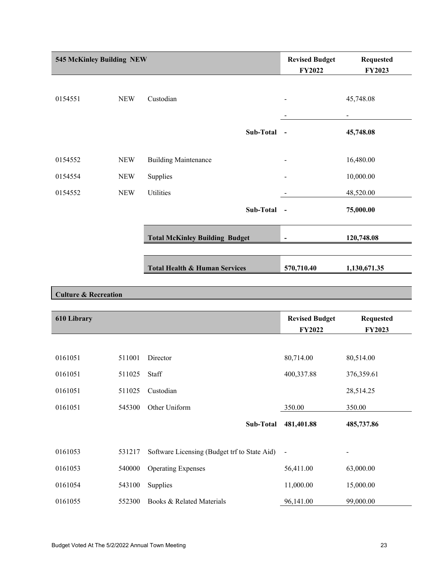| 545 McKinley Building NEW       |            | <b>Revised Budget</b><br>FY2022          | <b>Requested</b><br>FY2023 |                          |  |
|---------------------------------|------------|------------------------------------------|----------------------------|--------------------------|--|
| 0154551                         | <b>NEW</b> | Custodian                                |                            | 45,748.08                |  |
|                                 |            |                                          |                            | $\overline{\phantom{a}}$ |  |
|                                 |            | Sub-Total                                | $\blacksquare$             | 45,748.08                |  |
| 0154552                         | <b>NEW</b> | <b>Building Maintenance</b>              |                            | 16,480.00                |  |
| 0154554                         | <b>NEW</b> | Supplies                                 |                            | 10,000.00                |  |
| 0154552                         | <b>NEW</b> | <b>Utilities</b>                         |                            | 48,520.00                |  |
|                                 |            | Sub-Total                                | $\sim$                     | 75,000.00                |  |
|                                 |            | <b>Total McKinley Building Budget</b>    | $\overline{a}$             | 120,748.08               |  |
|                                 |            |                                          |                            |                          |  |
|                                 |            | <b>Total Health &amp; Human Services</b> | 570,710.40                 | 1,130,671.35             |  |
|                                 |            |                                          |                            |                          |  |
| <b>Culture &amp; Recreation</b> |            |                                          |                            |                          |  |

| 610 Library |        |                                              | <b>Revised Budget</b><br><b>FY2022</b> | <b>Requested</b><br><b>FY2023</b> |
|-------------|--------|----------------------------------------------|----------------------------------------|-----------------------------------|
|             |        |                                              |                                        |                                   |
| 0161051     | 511001 | Director                                     | 80,714.00                              | 80,514.00                         |
| 0161051     | 511025 | Staff                                        | 400,337.88                             | 376,359.61                        |
| 0161051     | 511025 | Custodian                                    |                                        | 28,514.25                         |
| 0161051     | 545300 | Other Uniform                                | 350.00                                 | 350.00                            |
|             |        | Sub-Total                                    | 481,401.88                             | 485,737.86                        |
|             |        |                                              |                                        |                                   |
| 0161053     | 531217 | Software Licensing (Budget trf to State Aid) | $\overline{a}$                         | $\overline{\phantom{a}}$          |
| 0161053     | 540000 | <b>Operating Expenses</b>                    | 56,411.00                              | 63,000.00                         |
| 0161054     | 543100 | Supplies                                     | 11,000.00                              | 15,000.00                         |
| 0161055     | 552300 | Books & Related Materials                    | 96,141.00                              | 99,000.00                         |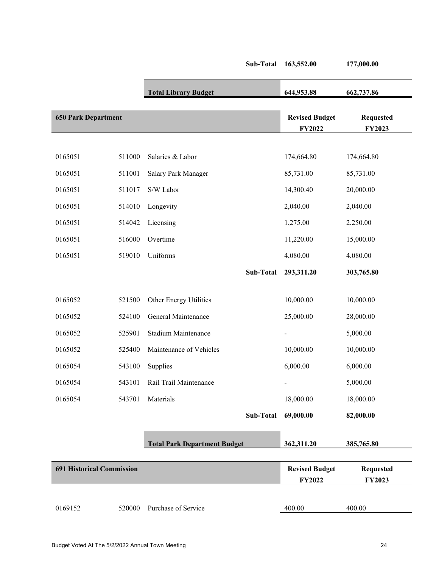|                                  |        |                                     | Sub-Total | 163,552.00                             | 177,000.00                 |
|----------------------------------|--------|-------------------------------------|-----------|----------------------------------------|----------------------------|
|                                  |        | <b>Total Library Budget</b>         |           | 644,953.88                             | 662,737.86                 |
| <b>650 Park Department</b>       |        |                                     |           | <b>Revised Budget</b><br>FY2022        | <b>Requested</b><br>FY2023 |
| 0165051                          | 511000 | Salaries & Labor                    |           | 174,664.80                             | 174,664.80                 |
| 0165051                          | 511001 | Salary Park Manager                 |           | 85,731.00                              | 85,731.00                  |
| 0165051                          | 511017 | S/W Labor                           |           | 14,300.40                              | 20,000.00                  |
| 0165051                          | 514010 | Longevity                           |           | 2,040.00                               | 2,040.00                   |
| 0165051                          | 514042 | Licensing                           |           | 1,275.00                               | 2,250.00                   |
| 0165051                          | 516000 | Overtime                            |           | 11,220.00                              | 15,000.00                  |
| 0165051                          | 519010 | Uniforms                            |           | 4,080.00                               | 4,080.00                   |
|                                  |        |                                     | Sub-Total | 293,311.20                             | 303,765.80                 |
|                                  |        |                                     |           |                                        |                            |
| 0165052                          | 521500 | Other Energy Utilities              |           | 10,000.00                              | 10,000.00                  |
| 0165052                          | 524100 | General Maintenance                 |           | 25,000.00                              | 28,000.00                  |
| 0165052                          | 525901 | Stadium Maintenance                 |           |                                        | 5,000.00                   |
| 0165052                          | 525400 | Maintenance of Vehicles             |           | 10,000.00                              | 10,000.00                  |
| 0165054                          | 543100 | Supplies                            |           | 6,000.00                               | 6,000.00                   |
| 0165054                          | 543101 | Rail Trail Maintenance              |           |                                        | 5,000.00                   |
| 0165054                          | 543701 | Materials                           |           | 18,000.00                              | 18,000.00                  |
|                                  |        |                                     | Sub-Total | 69,000.00                              | 82,000.00                  |
|                                  |        | <b>Total Park Department Budget</b> |           | 362,311.20                             | 385,765.80                 |
| <b>691 Historical Commission</b> |        |                                     |           | <b>Revised Budget</b><br><b>FY2022</b> | <b>Requested</b><br>FY2023 |
| 0169152                          | 520000 | Purchase of Service                 |           | 400.00                                 | 400.00                     |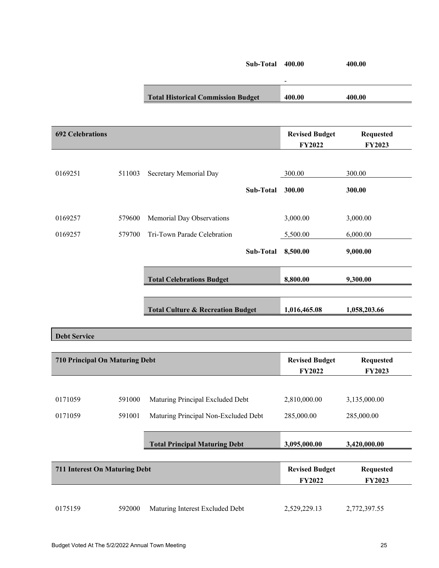|                                       |        |                                              | <b>Sub-Total 400.00</b> |                                        | 400.00                            |
|---------------------------------------|--------|----------------------------------------------|-------------------------|----------------------------------------|-----------------------------------|
|                                       |        | <b>Total Historical Commission Budget</b>    |                         | 400.00                                 | 400.00                            |
| <b>692 Celebrations</b>               |        |                                              |                         | <b>Revised Budget</b><br>FY2022        | <b>Requested</b><br>FY2023        |
| 0169251                               | 511003 | Secretary Memorial Day                       |                         | 300.00                                 | 300.00                            |
|                                       |        |                                              | Sub-Total               | 300.00                                 | 300.00                            |
| 0169257                               | 579600 | Memorial Day Observations                    |                         | 3,000.00                               | 3,000.00                          |
| 0169257                               | 579700 | Tri-Town Parade Celebration                  |                         | 5,500.00                               | 6,000.00                          |
|                                       |        |                                              | Sub-Total               | 8,500.00                               | 9,000.00                          |
|                                       |        | <b>Total Celebrations Budget</b>             |                         | 8,800.00                               | 9,300.00                          |
|                                       |        | <b>Total Culture &amp; Recreation Budget</b> |                         | 1,016,465.08                           | 1,058,203.66                      |
| <b>Debt Service</b>                   |        |                                              |                         |                                        |                                   |
| <b>710 Principal On Maturing Debt</b> |        |                                              |                         | <b>Revised Budget</b><br><b>FY2022</b> | <b>Requested</b><br><b>FY2023</b> |
|                                       |        |                                              |                         |                                        |                                   |
| 0171059                               | 591000 | Maturing Principal Excluded Debt             |                         | 2,810,000.00                           | 3,135,000.00                      |
| 0171059                               | 591001 | Maturing Principal Non-Excluded Debt         |                         | 285,000.00                             | 285,000.00                        |
|                                       |        | <b>Total Principal Maturing Debt</b>         |                         | 3,095,000.00                           | 3,420,000.00                      |
|                                       |        |                                              |                         |                                        |                                   |

| 711 Interest On Maturing Debt |        |                                 | <b>Revised Budget</b><br><b>FY2022</b> | Requested<br><b>FY2023</b> |
|-------------------------------|--------|---------------------------------|----------------------------------------|----------------------------|
| 0175159                       | 592000 | Maturing Interest Excluded Debt | 2,529,229.13                           | 2,772,397.55               |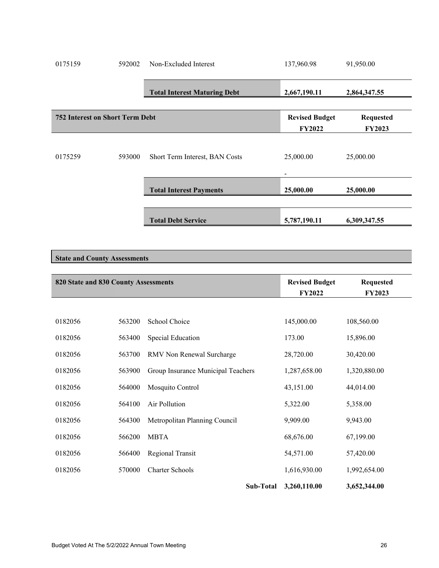| 0175159                                                                             | 592002 | Non-Excluded Interest               | 137,960.98               | 91,950.00     |
|-------------------------------------------------------------------------------------|--------|-------------------------------------|--------------------------|---------------|
|                                                                                     |        |                                     |                          |               |
|                                                                                     |        | <b>Total Interest Maturing Debt</b> | 2,667,190.11             | 2,864,347.55  |
|                                                                                     |        |                                     |                          |               |
| <b>Revised Budget</b><br><b>752 Interest on Short Term Debt</b><br><b>Requested</b> |        |                                     |                          |               |
|                                                                                     |        |                                     | <b>FY2022</b>            | <b>FY2023</b> |
|                                                                                     |        |                                     |                          |               |
| 0175259                                                                             | 593000 | Short Term Interest, BAN Costs      | 25,000.00                | 25,000.00     |
|                                                                                     |        |                                     |                          |               |
|                                                                                     |        |                                     | $\overline{\phantom{a}}$ |               |
|                                                                                     |        | <b>Total Interest Payments</b>      | 25,000.00                | 25,000.00     |
|                                                                                     |        |                                     |                          |               |
|                                                                                     |        | <b>Total Debt Service</b>           | 5,787,190.11             | 6,309,347.55  |
|                                                                                     |        |                                     |                          |               |

## **State and County Assessments**

| 820 State and 830 County Assessments |        |                                    | <b>Revised Budget</b> | <b>Requested</b> |
|--------------------------------------|--------|------------------------------------|-----------------------|------------------|
|                                      |        |                                    | <b>FY2022</b>         | <b>FY2023</b>    |
|                                      |        |                                    |                       |                  |
| 0182056                              | 563200 | School Choice                      | 145,000.00            | 108,560.00       |
| 0182056                              | 563400 | Special Education                  | 173.00                | 15,896.00        |
| 0182056                              | 563700 | RMV Non Renewal Surcharge          | 28,720.00             | 30,420.00        |
| 0182056                              | 563900 | Group Insurance Municipal Teachers | 1,287,658.00          | 1,320,880.00     |
| 0182056                              | 564000 | Mosquito Control                   | 43,151.00             | 44,014.00        |
| 0182056                              | 564100 | Air Pollution                      | 5,322.00              | 5,358.00         |
| 0182056                              | 564300 | Metropolitan Planning Council      | 9,909.00              | 9,943.00         |
| 0182056                              | 566200 | <b>MBTA</b>                        | 68,676.00             | 67,199.00        |
| 0182056                              | 566400 | Regional Transit                   | 54,571.00             | 57,420.00        |
| 0182056                              | 570000 | <b>Charter Schools</b>             | 1,616,930.00          | 1,992,654.00     |
|                                      |        | Sub-Total                          | 3,260,110.00          | 3,652,344.00     |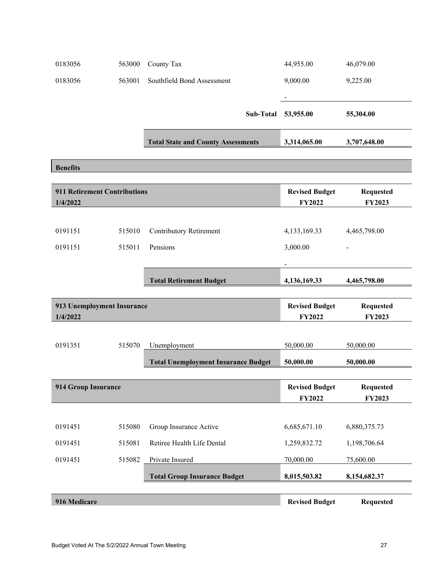| 0183056                                         | 563000 | County Tax                                 | 44,955.00                              | 46,079.00                         |
|-------------------------------------------------|--------|--------------------------------------------|----------------------------------------|-----------------------------------|
| 0183056                                         | 563001 | Southfield Bond Assessment                 | 9,000.00                               | 9,225.00                          |
|                                                 |        |                                            |                                        |                                   |
|                                                 |        | Sub-Total                                  | 53,955.00                              | 55,304.00                         |
|                                                 |        | <b>Total State and County Assessments</b>  | 3,314,065.00                           | 3,707,648.00                      |
|                                                 |        |                                            |                                        |                                   |
| <b>Benefits</b>                                 |        |                                            |                                        |                                   |
| <b>911 Retirement Contributions</b><br>1/4/2022 |        |                                            | <b>Revised Budget</b><br><b>FY2022</b> | <b>Requested</b><br>FY2023        |
|                                                 |        |                                            |                                        |                                   |
| 0191151                                         | 515010 | Contributory Retirement                    | 4, 133, 169. 33                        | 4,465,798.00                      |
| 0191151                                         | 515011 | Pensions                                   | 3,000.00                               |                                   |
|                                                 |        |                                            |                                        |                                   |
|                                                 |        | <b>Total Retirement Budget</b>             | 4,136,169.33                           | 4,465,798.00                      |
|                                                 |        |                                            |                                        |                                   |
| 913 Unemployment Insurance<br>1/4/2022          |        |                                            | <b>Revised Budget</b><br><b>FY2022</b> | <b>Requested</b><br><b>FY2023</b> |
|                                                 |        |                                            |                                        |                                   |
| 0191351                                         | 515070 | Unemployment                               | 50,000.00                              | 50,000.00                         |
|                                                 |        | <b>Total Unemployment Insurance Budget</b> | 50,000.00                              | 50,000.00                         |
|                                                 |        |                                            |                                        |                                   |
| <b>914 Group Insurance</b>                      |        |                                            | <b>Revised Budget</b><br>FY2022        | <b>Requested</b><br>FY2023        |
|                                                 |        |                                            |                                        |                                   |
| 0191451                                         | 515080 | Group Insurance Active                     | 6,685,671.10                           | 6,880,375.73                      |
| 0191451                                         | 515081 | Retiree Health Life Dental                 | 1,259,832.72                           | 1,198,706.64                      |
| 0191451                                         | 515082 | Private Insured                            | 70,000.00                              | 75,600.00                         |
|                                                 |        | <b>Total Group Insurance Budget</b>        | 8,015,503.82                           | 8,154,682.37                      |
|                                                 |        |                                            |                                        |                                   |
| 916 Medicare                                    |        |                                            | <b>Revised Budget</b>                  | <b>Requested</b>                  |